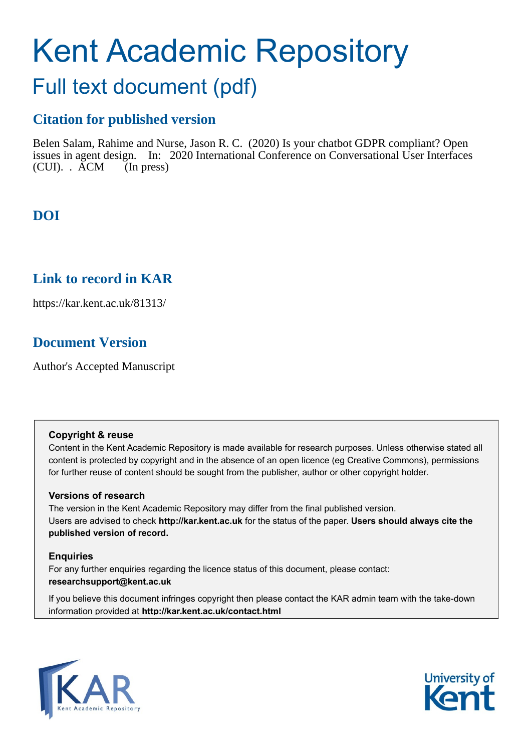# Kent Academic Repository

# Full text document (pdf)

# **Citation for published version**

Belen Salam, Rahime and Nurse, Jason R. C. (2020) Is your chatbot GDPR compliant? Open issues in agent design. In: 2020 International Conference on Conversational User Interfaces (CUI). . ACM (In press)

# **DOI**

# **Link to record in KAR**

https://kar.kent.ac.uk/81313/

# **Document Version**

Author's Accepted Manuscript

# **Copyright & reuse**

Content in the Kent Academic Repository is made available for research purposes. Unless otherwise stated all content is protected by copyright and in the absence of an open licence (eg Creative Commons), permissions for further reuse of content should be sought from the publisher, author or other copyright holder.

# **Versions of research**

The version in the Kent Academic Repository may differ from the final published version. Users are advised to check **http://kar.kent.ac.uk** for the status of the paper. **Users should always cite the published version of record.**

# **Enquiries**

For any further enquiries regarding the licence status of this document, please contact: **researchsupport@kent.ac.uk**

If you believe this document infringes copyright then please contact the KAR admin team with the take-down information provided at **http://kar.kent.ac.uk/contact.html**



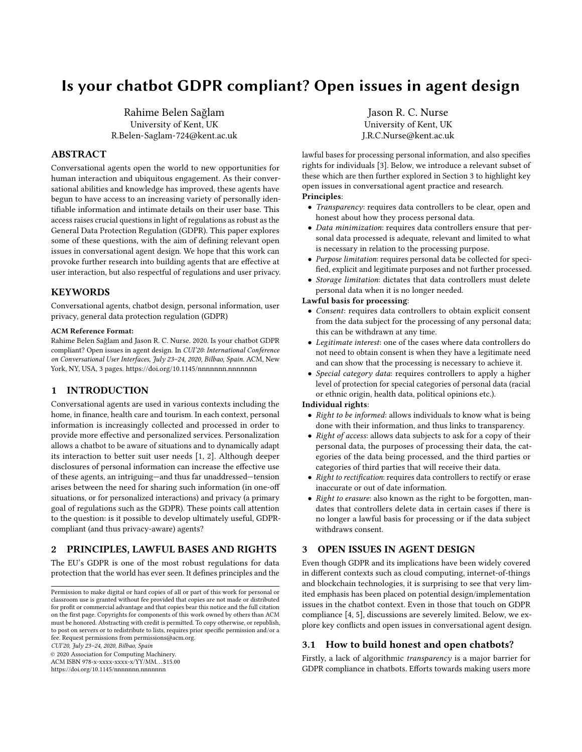# Is your chatbot GDPR compliant? Open issues in agent design

Rahime Belen Sağlam University of Kent, UK R.Belen-Saglam-724@kent.ac.uk

### ABSTRACT

Conversational agents open the world to new opportunities for human interaction and ubiquitous engagement. As their conversational abilities and knowledge has improved, these agents have begun to have access to an increasing variety of personally identifiable information and intimate details on their user base. This access raises crucial questions in light of regulations as robust as the General Data Protection Regulation (GDPR). This paper explores some of these questions, with the aim of defining relevant open issues in conversational agent design. We hope that this work can provoke further research into building agents that are effective at user interaction, but also respectful of regulations and user privacy.

#### **KEYWORDS**

Conversational agents, chatbot design, personal information, user privacy, general data protection regulation (GDPR)

#### ACM Reference Format:

Rahime Belen Sağlam and Jason R. C. Nurse. 2020. Is your chatbot GDPR compliant? Open issues in agent design. In CUI'20: International Conference on Conversational User Interfaces, July 23–24, 2020, Bilbao, Spain. ACM, New York, NY, USA, 3 pages.<https://doi.org/10.1145/nnnnnnn.nnnnnnn>

## 1 INTRODUCTION

Conversational agents are used in various contexts including the home, in finance, health care and tourism. In each context, personal information is increasingly collected and processed in order to provide more effective and personalized services. Personalization allows a chatbot to be aware of situations and to dynamically adapt its interaction to better suit user needs [1, 2]. Although deeper disclosures of personal information can increase the effective use of these agents, an intriguing—and thus far unaddressed—tension arises between the need for sharing such information (in one-off situations, or for personalized interactions) and privacy (a primary goal of regulations such as the GDPR). These points call attention to the question: is it possible to develop ultimately useful, GDPRcompliant (and thus privacy-aware) agents?

## 2 PRINCIPLES, LAWFUL BASES AND RIGHTS

The EU's GDPR is one of the most robust regulations for data protection that the world has ever seen. It defines principles and the

CUI'20, July 23–24, 2020, Bilbao, Spain

© 2020 Association for Computing Machinery.

ACM ISBN 978-x-xxxx-xxxx-x/YY/MM. . . \$15.00 <https://doi.org/10.1145/nnnnnnn.nnnnnnn>

Jason R. C. Nurse University of Kent, UK J.R.C.Nurse@kent.ac.uk

lawful bases for processing personal information, and also specifies rights for individuals [3]. Below, we introduce a relevant subset of these which are then further explored in Section 3 to highlight key open issues in conversational agent practice and research. Principles:

- Transparency: requires data controllers to be clear, open and honest about how they process personal data.
- Data minimization: requires data controllers ensure that personal data processed is adequate, relevant and limited to what is necessary in relation to the processing purpose.
- Purpose limitation: requires personal data be collected for specified, explicit and legitimate purposes and not further processed.
- Storage limitation: dictates that data controllers must delete personal data when it is no longer needed.

#### Lawful basis for processing:

- Consent: requires data controllers to obtain explicit consent from the data subject for the processing of any personal data; this can be withdrawn at any time.
- Legitimate interest: one of the cases where data controllers do not need to obtain consent is when they have a legitimate need and can show that the processing is necessary to achieve it.
- *Special category data*: requires controllers to apply a higher level of protection for special categories of personal data (racial or ethnic origin, health data, political opinions etc.).

#### Individual rights:

- Right to be informed: allows individuals to know what is being done with their information, and thus links to transparency.
- Right of access: allows data subjects to ask for a copy of their personal data, the purposes of processing their data, the categories of the data being processed, and the third parties or categories of third parties that will receive their data.
- Right to rectification: requires data controllers to rectify or erase inaccurate or out of date information.
- Right to erasure: also known as the right to be forgotten, mandates that controllers delete data in certain cases if there is no longer a lawful basis for processing or if the data subject withdraws consent.

## 3 OPEN ISSUES IN AGENT DESIGN

Even though GDPR and its implications have been widely covered in different contexts such as cloud computing, internet-of-things and blockchain technologies, it is surprising to see that very limited emphasis has been placed on potential design/implementation issues in the chatbot context. Even in those that touch on GDPR compliance [4, 5], discussions are severely limited. Below, we explore key conflicts and open issues in conversational agent design.

#### 3.1 How to build honest and open chatbots?

Firstly, a lack of algorithmic transparency is a major barrier for GDPR compliance in chatbots. Efforts towards making users more

Permission to make digital or hard copies of all or part of this work for personal or classroom use is granted without fee provided that copies are not made or distributed for profit or commercial advantage and that copies bear this notice and the full citation on the first page. Copyrights for components of this work owned by others than ACM must be honored. Abstracting with credit is permitted. To copy otherwise, or republish, to post on servers or to redistribute to lists, requires prior specific permission and/or a fee. Request permissions from permissions@acm.org.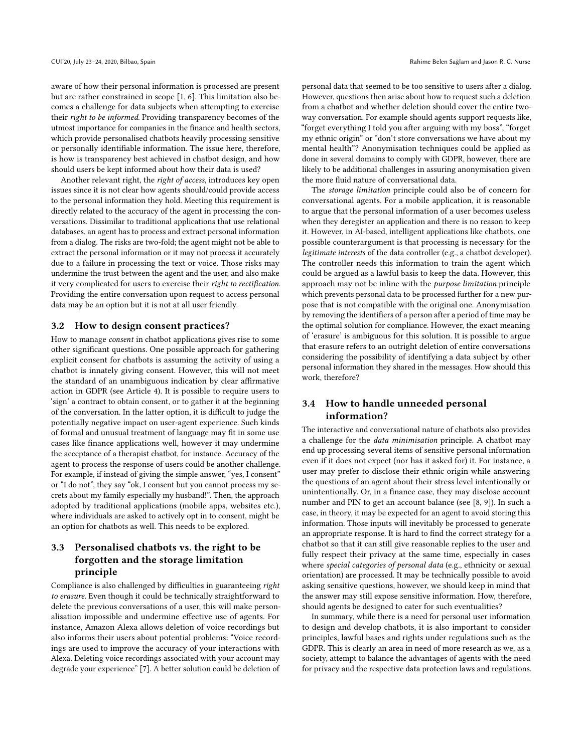aware of how their personal information is processed are present but are rather constrained in scope [1, 6]. This limitation also becomes a challenge for data subjects when attempting to exercise their right to be informed. Providing transparency becomes of the utmost importance for companies in the finance and health sectors, which provide personalised chatbots heavily processing sensitive or personally identifiable information. The issue here, therefore, is how is transparency best achieved in chatbot design, and how should users be kept informed about how their data is used?

Another relevant right, the right of access, introduces key open issues since it is not clear how agents should/could provide access to the personal information they hold. Meeting this requirement is directly related to the accuracy of the agent in processing the conversations. Dissimilar to traditional applications that use relational databases, an agent has to process and extract personal information from a dialog. The risks are two-fold; the agent might not be able to extract the personal information or it may not process it accurately due to a failure in processing the text or voice. Those risks may undermine the trust between the agent and the user, and also make it very complicated for users to exercise their right to rectification. Providing the entire conversation upon request to access personal data may be an option but it is not at all user friendly.

#### 3.2 How to design consent practices?

How to manage consent in chatbot applications gives rise to some other significant questions. One possible approach for gathering explicit consent for chatbots is assuming the activity of using a chatbot is innately giving consent. However, this will not meet the standard of an unambiguous indication by clear affirmative action in GDPR (see Article 4). It is possible to require users to 'sign' a contract to obtain consent, or to gather it at the beginning of the conversation. In the latter option, it is difficult to judge the potentially negative impact on user-agent experience. Such kinds of formal and unusual treatment of language may fit in some use cases like finance applications well, however it may undermine the acceptance of a therapist chatbot, for instance. Accuracy of the agent to process the response of users could be another challenge. For example, if instead of giving the simple answer, "yes, I consent" or "I do not", they say "ok, I consent but you cannot process my secrets about my family especially my husband!". Then, the approach adopted by traditional applications (mobile apps, websites etc.), where individuals are asked to actively opt in to consent, might be an option for chatbots as well. This needs to be explored.

## 3.3 Personalised chatbots vs. the right to be forgotten and the storage limitation principle

Compliance is also challenged by difficulties in guaranteeing right to erasure. Even though it could be technically straightforward to delete the previous conversations of a user, this will make personalisation impossible and undermine effective use of agents. For instance, Amazon Alexa allows deletion of voice recordings but also informs their users about potential problems: "Voice recordings are used to improve the accuracy of your interactions with Alexa. Deleting voice recordings associated with your account may degrade your experience" [7]. A better solution could be deletion of

personal data that seemed to be too sensitive to users after a dialog. However, questions then arise about how to request such a deletion from a chatbot and whether deletion should cover the entire twoway conversation. For example should agents support requests like, "forget everything I told you after arguing with my boss", "forget my ethnic origin" or "don't store conversations we have about my mental health"? Anonymisation techniques could be applied as done in several domains to comply with GDPR, however, there are likely to be additional challenges in assuring anonymisation given the more fluid nature of conversational data.

The storage limitation principle could also be of concern for conversational agents. For a mobile application, it is reasonable to argue that the personal information of a user becomes useless when they deregister an application and there is no reason to keep it. However, in AI-based, intelligent applications like chatbots, one possible counterargument is that processing is necessary for the legitimate interests of the data controller (e.g., a chatbot developer). The controller needs this information to train the agent which could be argued as a lawful basis to keep the data. However, this approach may not be inline with the purpose limitation principle which prevents personal data to be processed further for a new purpose that is not compatible with the original one. Anonymisation by removing the identifiers of a person after a period of time may be the optimal solution for compliance. However, the exact meaning of 'erasure' is ambiguous for this solution. It is possible to argue that erasure refers to an outright deletion of entire conversations considering the possibility of identifying a data subject by other personal information they shared in the messages. How should this work, therefore?

## 3.4 How to handle unneeded personal information?

The interactive and conversational nature of chatbots also provides a challenge for the data minimisation principle. A chatbot may end up processing several items of sensitive personal information even if it does not expect (nor has it asked for) it. For instance, a user may prefer to disclose their ethnic origin while answering the questions of an agent about their stress level intentionally or unintentionally. Or, in a finance case, they may disclose account number and PIN to get an account balance (see [8, 9]). In such a case, in theory, it may be expected for an agent to avoid storing this information. Those inputs will inevitably be processed to generate an appropriate response. It is hard to find the correct strategy for a chatbot so that it can still give reasonable replies to the user and fully respect their privacy at the same time, especially in cases where special categories of personal data (e.g., ethnicity or sexual orientation) are processed. It may be technically possible to avoid asking sensitive questions, however, we should keep in mind that the answer may still expose sensitive information. How, therefore, should agents be designed to cater for such eventualities?

In summary, while there is a need for personal user information to design and develop chatbots, it is also important to consider principles, lawful bases and rights under regulations such as the GDPR. This is clearly an area in need of more research as we, as a society, attempt to balance the advantages of agents with the need for privacy and the respective data protection laws and regulations.